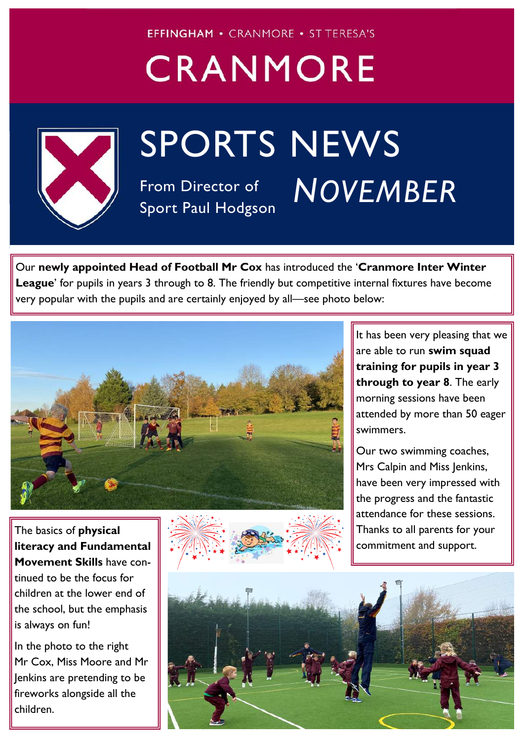**EFFINGHAM • CRANMORE • ST TERESA'S** 

## CRANMORE



## SPORTS NEWS

From Director of Sport Paul Hodgson

## **16th NOVEMBER 2020** *NOVEMBER*

Our **newly appointed Head of Football Mr Cox** has introduced the '**Cranmore Inter Winter**  League' for pupils in years 3 through to 8. The friendly but competitive internal fixtures have become very popular with the pupils and are certainly enjoyed by all—see photo below:



The basics of **physical literacy and Fundamental Movement Skills** have continued to be the focus for children at the lower end of the school, but the emphasis is always on fun!

In the photo to the right Mr Cox, Miss Moore and Mr Jenkins are pretending to be fireworks alongside all the children.



It has been very pleasing that we are able to run **swim squad training for pupils in year 3 through to year 8**. The early morning sessions have been attended by more than 50 eager swimmers.

Our two swimming coaches, Mrs Calpin and Miss Jenkins, have been very impressed with the progress and the fantastic attendance for these sessions. Thanks to all parents for your commitment and support.